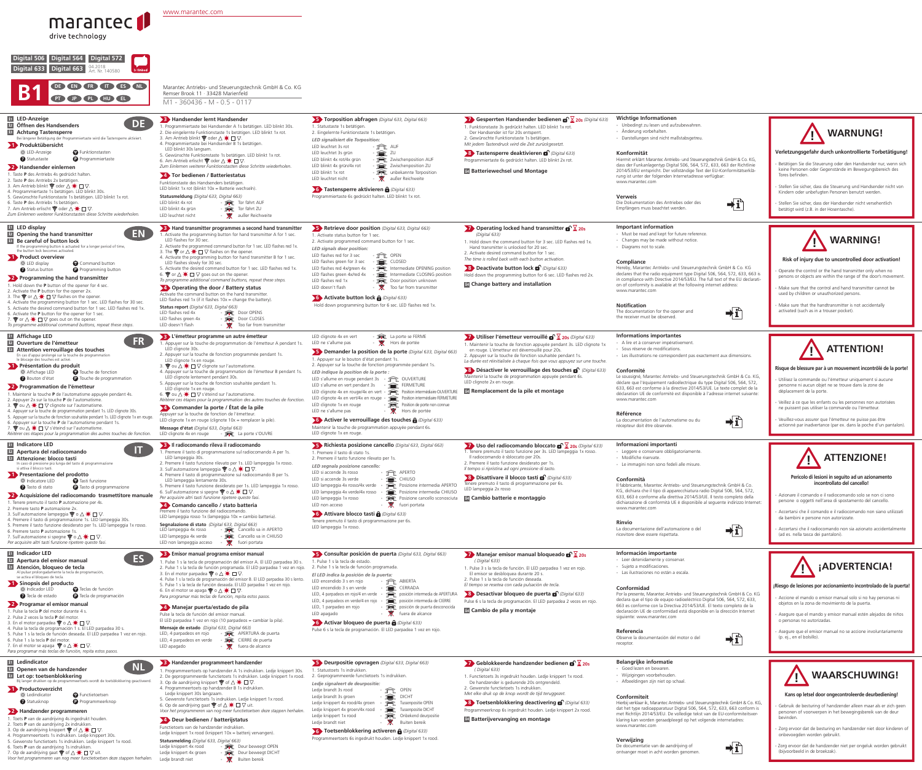| Wichtige Informationen<br>- Unbedingt zu lesen und aufzubewahren.<br>- Änderung vorbehalten.<br>- Darstellungen sind nicht maßstabsgetreu.                                                                                                                                                                                                          | <b>WARNUNG!</b>                                                                                                                                                                                                                                                                                        |
|-----------------------------------------------------------------------------------------------------------------------------------------------------------------------------------------------------------------------------------------------------------------------------------------------------------------------------------------------------|--------------------------------------------------------------------------------------------------------------------------------------------------------------------------------------------------------------------------------------------------------------------------------------------------------|
| Konformität<br>Hiermit erklärt Marantec Antriebs- und Steuerungstechnik GmbH & Co. KG,<br>dass der Funkanlagentyp Digital 506, 564, 572, 633, 663 der Richtlinie<br>2014/53/EU entspricht. Der vollständige Text der EU-Konformitätserklä-<br>rung ist unter der folgenden Internetadresse verfügbar:<br>www.marantec.com                           | Verletzungsgefahr durch unkontrollierte Torbetätigung!<br>- Betätigen Sie die Steuerung oder den Handsender nur, wenn sich<br>keine Personen oder Gegenstände im Bewegungsbereich des<br>Tores befinden.<br>- Stellen Sie sicher, dass die Steuerung und Handsender nicht von                          |
| Verweis<br>Die Dokumentation des Antriebes oder des<br>Empfängers muss beachtet werden.                                                                                                                                                                                                                                                             | Kindern oder unbefugten Personen benutzt werden.<br>- Stellen Sie sicher, dass der Handsender nicht versehentlich<br>betätigt wird (z.B. in der Hosentasche).                                                                                                                                          |
| <b>Important information</b><br>- Must be read and kept for future reference.<br>- Changes may be made without notice.<br>- Diagrams not to scale.                                                                                                                                                                                                  | <b>WARNING!</b>                                                                                                                                                                                                                                                                                        |
| Compliance<br>Hereby, Marantec Antriebs- und Steuerungstechnik GmbH & Co. KG<br>declares that the radio equipment type Digital 506, 564, 572, 633, 663 is<br>in compliance with Directive 2014/53/EU. The full text of the EU declarati-<br>on of conformity is available at the following internet address:<br>www.marantec.com                    | Risk of injury due to uncontrolled door activation!<br>Operate the control or the hand transmitter only when no<br>persons or objects are within the range of the door's movement.<br>- Make sure that the control and hand transmitter cannot be<br>used by children or unauthorized persons.         |
| Notification<br>The documentation for the opener and<br>the receiver must be observed.                                                                                                                                                                                                                                                              | - Make sure that the handtransmitter is not accidentally<br>activated (such as in a trouser pocket).                                                                                                                                                                                                   |
| <b>Informations importantes</b>                                                                                                                                                                                                                                                                                                                     |                                                                                                                                                                                                                                                                                                        |
| - A lire et à conserver impérativement.<br>- Sous réserve de modifications.<br>- Les illustrations ne correspondent pas exactement aux dimensions.                                                                                                                                                                                                  | <b>ATTENTION!</b>                                                                                                                                                                                                                                                                                      |
| Conformité<br>Le soussigné, Marantec Antriebs- und Steuerungstechnik GmbH & Co. KG,<br>déclare que l'équipement radioélectrique du type Digital 506, 564, 572,<br>633, 663 est conforme à la directive 2014/53/UE. Le texte complet de la<br>déclaration UE de conformité est disponible à l'adresse internet suivante:<br>www.marantec.com         | Risque de blessure par à un mouvement incontrôlé de la porte!<br>- Utilisez la commande ou l'émetteur uniquement si aucune<br>personne ni aucun objet ne se trouve dans la zone de<br>déplacement de la porte.<br>- Veillez à ce que les enfants ou les personnes non autorisées                       |
| Référence<br>La documentation de l'automatisme ou du<br>récepteur doit être observée.                                                                                                                                                                                                                                                               | ne puissent pas utiliser la commande ou l'émetteur.<br>Veuillez-vous assurer que l'émetteur ne puisse pas être<br>actionné par inadvertance (par ex. dans la poche d'un pantalon).                                                                                                                     |
|                                                                                                                                                                                                                                                                                                                                                     |                                                                                                                                                                                                                                                                                                        |
|                                                                                                                                                                                                                                                                                                                                                     |                                                                                                                                                                                                                                                                                                        |
| Informazioni importanti<br>- Leggere e conservare obbligatoriamente.<br>Modifiche riservate.<br>- Le immagini non sono fedeli alle misure.                                                                                                                                                                                                          | <b>ATTENZIONE!</b>                                                                                                                                                                                                                                                                                     |
| Conformità<br>Il fabbricante, Marantec Antriebs- und Steuerungstechnik GmbH & Co.<br>KG, dichiara che il tipo di apparecchiatura radio Digital 506, 564, 572,<br>633, 663 è conforme alla direttiva 2014/53/UE. Il testo completo della<br>dichiarazione di conformità UE è disponibile al sequente indirizzo Internet:<br>www.marantec.com         | Pericolo di lesioni in seguito ad un azionamento<br>incontrollato del cancello!<br>- Azionare il comando e il radiocomando solo se non ci sono<br>persone o oggetti nell'area di spostamento del cancello.<br>- Accertarsi che il comando e il radiocomando non siano utilizzati                       |
| Rinvio<br>La documentazione dell'automazione o del<br>ricevitore deve essere rispettata.                                                                                                                                                                                                                                                            | da bambini e persone non autorizzate.<br>- Accertarsi che il radiocomando non sia azionato accidentalmente<br>(ad es. nella tasca dei pantaloni).                                                                                                                                                      |
|                                                                                                                                                                                                                                                                                                                                                     |                                                                                                                                                                                                                                                                                                        |
| Información importante<br>- Leer detenidamente y conservar.<br>- Sujeto a modificaciones.<br>- Las ilustraciones no están a escala.                                                                                                                                                                                                                 | <b>ADVERTENCIA!</b>                                                                                                                                                                                                                                                                                    |
| Conformidad<br>Por la presente, Marantec Antriebs- und Steuerungstechnik GmbH & Co. KG<br>declara que el tipo de equipo radioeléctrico Digital 506, 564, 572, 633,<br>663 es conforme con la Directiva 2014/53/UE. El texto completo de la<br>declaración UE de conformidad está disponible en la dirección Internet<br>siguiente: www.marantec.com | ¡Riesgo de lesiones por accionamiento incontrolado de la puerta!<br>- Accione el mando o emisor manual solo si no hay personas ni<br>objetos en la zona de movimiento de la puerta.<br>- Asegure que el mando y emisor manual estén alejados de niños<br>o personas no autorizadas.                    |
| Referencia<br>Observe la documentación del motor o del<br>receptor.                                                                                                                                                                                                                                                                                 | - Asegure que el emisor manual no se accione involuntariamente<br>(p. ej., en el bolsillo).                                                                                                                                                                                                            |
| <b>Belangrijke informatie</b>                                                                                                                                                                                                                                                                                                                       |                                                                                                                                                                                                                                                                                                        |
| - Goed lezen en bewaren.<br>- Wijzigingen voorbehouden.<br>- Afbeeldingen zijn niet op schaal.                                                                                                                                                                                                                                                      | <b>WAARSCHUWING!</b>                                                                                                                                                                                                                                                                                   |
| Conformiteit<br>Hierbij verklaar ik, Marantec Antriebs- und Steuerungstechnik GmbH & Co. KG,<br>dat het type radioapparatuur Digital 506, 564, 572, 633, 663 conform is<br>met Richtlijn 2014/53/EU. De volledige tekst van de EU-conformiteitsver-<br>klaring kan worden geraadpleegd op het volgende internetadres:<br>www.marantec.com           | Kans op letsel door ongecontroleerde deurbediening!<br>- Gebruik de besturing of handzender alleen maar als er zich geen<br>personen of voorwerpen in het bewegingsbereik van de deur<br>bevinden.<br>Zorg ervoor dat de besturing en handzender niet door kinderen of<br>onbevoegden worden gebruikt. |